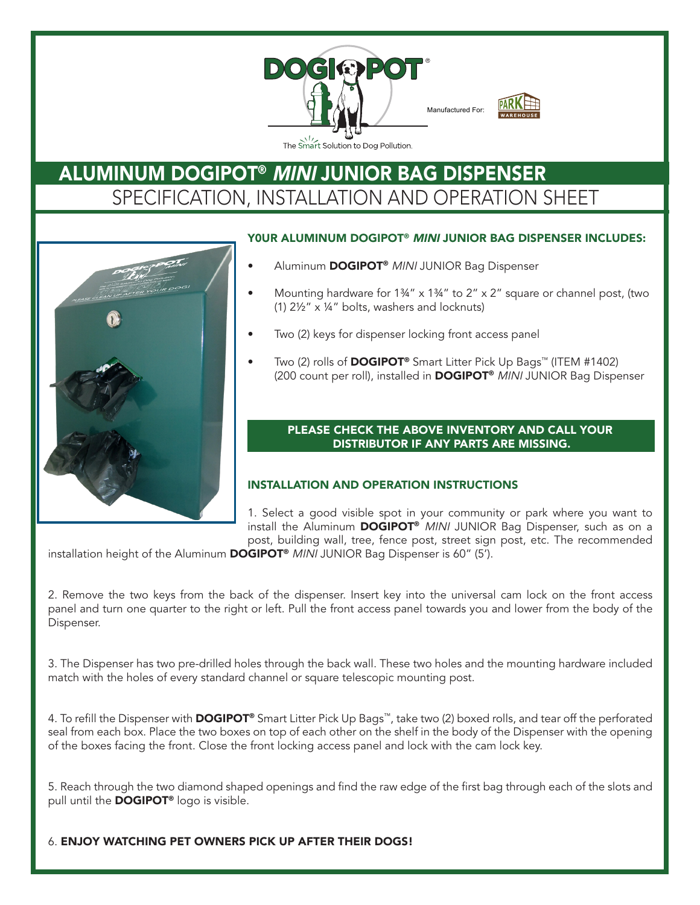

# **DOGIPOT® TELESCOPING POST (ITEM 1301-P)** ALUMINUM DOGIPOT® MINI JUNIOR BAG DISPENSER SPECIFICATION, INSTALLATION AND OPERATION SHEET



#### Y0ur aluminum DOGIPOT® MINI JUNIOR BAG DISPENSER INcLuDES:

- Aluminum **DOGIPOT®** MINI JUNIOR Bag Dispenser
- Mounting hardware for 1¾"  $\times$  1¾" to 2"  $\times$  2" square or channel post, (two (1)  $2\frac{1}{2}$  x  $\frac{1}{4}$  bolts, washers and locknuts)
- Two (2) keys for dispenser locking front access panel
- Two (2) rolls of DOGIPOT<sup>®</sup> Smart Litter Pick Up Bags<sup>™</sup> (ITEM #1402) (200 count per roll), installed in **DOGIPOT<sup>®</sup>** MINI JUNIOR Bag Dispenser

#### PLEASE CHECK THE ABOVE INVENTORY AND CALL YOUR DISTRIBUTOR IF ANY PARTS ARE MISSING.

#### INSTALLATION AND OPErATION INSTrucTIONS

1. Select a good visible spot in your community or park where you want to install the Aluminum DOGIPOT<sup>®</sup> MINI JUNIOR Bag Dispenser, such as on a post, building wall, tree, fence post, street sign post, etc. The recommended

installation height of the Aluminum **DOGIPOT®** MINI JUNIOR Bag Dispenser is 60" (5').

2. Remove the two keys from the back of the dispenser. Insert key into the universal cam lock on the front access panel and turn one quarter to the right or left. Pull the front access panel towards you and lower from the body of the Dispenser.

3. The Dispenser has two pre-drilled holes through the back wall. These two holes and the mounting hardware included match with the holes of every standard channel or square telescopic mounting post.

4. To refill the Dispenser with **DOGIPOT®** Smart Litter Pick Up Bags™, take two (2) boxed rolls, and tear off the perforated seal from each box. Place the two boxes on top of each other on the shelf in the body of the Dispenser with the opening of the boxes facing the front. Close the front locking access panel and lock with the cam lock key.

5. Reach through the two diamond shaped openings and find the raw edge of the first bag through each of the slots and pull until the **DOGIPOT®** logo is visible.

### 6. ENJOY WATCHING PET OWNERS PICK UP AFTER THEIR DOGS!